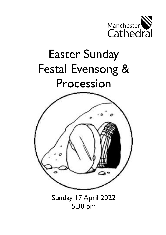

# Easter Sunday Festal Evensong & Procession



Sunday 17 April 2022 5.30 pm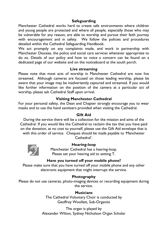### **Safeguarding**

Manchester Cathedral works hard to create safe environments where children and young people are protected and where all people, especially those who may be vulnerable for any reason, are able to worship and pursue their faith journey with encouragement and in safety. We follow the policies and procedures detailed within the Cathedral Safeguarding Handbook.

We act promptly on any complaints made, and work in partnership with Manchester Diocese, the police and social care services whenever appropriate to do so. Details of our policy and how to voice a concern can be found on a dedicated page of our website and on the noticeboard at the south porch.

#### **Live streaming**

Please note that most acts of worship in Manchester Cathedral are now live streamed. Although cameras are focused on those leading worship, please be aware that your image may be inadvertently captured and streamed. If you would like further information on the position of the camera at a particular act of worship, please ask Cathedral Staff upon arrival.

#### **Visiting Manchester Cathedral**

For your personal safety, the Dean and Chapter strongly encourage you to wear masks and to use the hand sanitisers provided when visiting the Cathedral.

#### **Gift Aid**

During the service there will be a collection for the mission and aims of the Cathedral. If you would like the Cathedral to reclaim the tax that you have paid on the donation, at no cost to yourself, please use the Gift Aid envelope that is with this order of service. Cheques should be made payable to 'Manchester Cathedral'.



#### **Hearing-loop**

Manchester Cathedral has a hearing-loop. Please set your hearing aid to setting T.

#### **Have you turned off your mobile phone?**

Please make sure that you have turned off your mobile phone and any other electronic equipment that might interrupt the service.

### **Photography**

Please do not use cameras, photo-imaging devices or recording equipment during the service.

#### **Musicians**

The Cathedral Voluntary Choir is conducted by Geoffrey Woollatt, Sub-Organist

The organ is played by Alexander Wilton, Sydney Nicholson Organ Scholar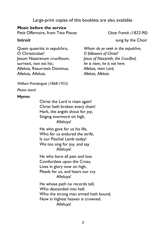# Large-print copies of this booklets are also available

### **Music before the service**

Petit Offertoire, from Two Pieces *César Franck (1822-90)*

Quem quaeritis in sepulchro, O Christicolae? Jesum Nazarenum crucifixum, surrexit, non est hic; Alleluia, Resurrexit Dominus, Alleluia, Alleluia.

**Introit Introit** sung by the Choir

*Whom do ye seek in the sepulchre, O followers of Christ? Jesus of Nazareth, the Crucified, he is risen, he is not here. Alleluia, risen Lord, Alleluia, Alleluia.*

*William Prendergast (1868-1933)*

*Please stand*

# **Hymn**

Christ the Lord is risen again! Christ hath broken every chain! Hark, the angels shout for joy, Singing evermore on high, Alleluya!

He who gave for us his life, Who for us endured the strife, Is our Paschal Lamb today! We too sing for joy, and say Alleluya!

He who bore all pain and loss Comfortless upon the Cross, Lives in glory now on high, Pleads for us, and hears our cry. Alleluya!

He whose path no records tell, Who descended into hell; Who the strong man armed hath bound, Now in highest heaven is crowned. Alleluya!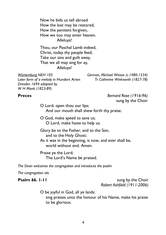Now he bids us tell abroad How the lost may be restored, How the penitent forgiven, How we too may enter heaven. Alleluya!

Thou, our Paschal Lamb indeed, Christ, today thy people feed; Take our sins and guilt away, That we all may sing for ay, Alleluya!

*Later form of a melody in* Hundert Arien *Tr Catherine Winkworth (1827-78) Dresden 1694 adapted by W H Monk (1823-89)*

*Würtemburg NEH 105 German, Michael Weisse (c.1480-1534)*

**Preces** *Bernard Rose (1916-96)* sung by the Choir

> O Lord, open thou our lips; And our mouth shall shew forth thy praise.

O God, make speed to save us; O Lord, make haste to help us.

Glory be to the Father, and to the Son, and to the Holy Ghost;

As it was in the beginning, is now, and ever shall be, world without end. Amen.

Praise ye the Lord; The Lord's Name be praised.

*The Dean welcomes the congregation and introduces the psalm*

*The congregation sits*

**Psalm 66. 1-11** sung by the Choir *Robert Ashfield (1911-2006)*

O be joyful in God, all ye lands:

sing praises unto the honour of his Name, make his praise to be glorious.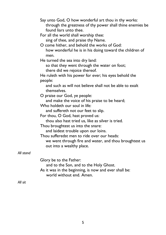|           | Say unto God, O how wonderful art thou in thy works:<br>through the greatness of thy power shall thine enemies be<br>found liars unto thee.<br>For all the world shall worship thee:<br>sing of thee, and praise thy Name.<br>O come hither, and behold the works of God:<br>how wonderful he is in his doing toward the children of |
|-----------|--------------------------------------------------------------------------------------------------------------------------------------------------------------------------------------------------------------------------------------------------------------------------------------------------------------------------------------|
|           | men.<br>He turned the sea into dry land:<br>so that they went through the water on foot;                                                                                                                                                                                                                                             |
|           | there did we rejoice thereof.<br>He ruleth with his power for ever; his eyes behold the<br>people:                                                                                                                                                                                                                                   |
|           | and such as will not believe shall not be able to exalt<br>themselves.                                                                                                                                                                                                                                                               |
|           | O praise our God, ye people:<br>and make the voice of his praise to be heard;                                                                                                                                                                                                                                                        |
|           | Who holdeth our soul in life:<br>and suffereth not our feet to slip.                                                                                                                                                                                                                                                                 |
|           | For thou, O God, hast proved us:<br>thou also hast tried us, like as silver is tried.                                                                                                                                                                                                                                                |
|           | Thou broughtest us into the snare:<br>and laidest trouble upon our loins.                                                                                                                                                                                                                                                            |
|           | Thou sufferedst men to ride over our heads:<br>we went through fire and water, and thou broughtest us<br>out into a wealthy place.                                                                                                                                                                                                   |
| All stand |                                                                                                                                                                                                                                                                                                                                      |
|           | Glory be to the Father:<br>and to the Son, and to the Holy Ghost.<br>As it was in the beginning, is now and ever shall be:                                                                                                                                                                                                           |
|           | world without end. Amen.                                                                                                                                                                                                                                                                                                             |
| $All$ cit |                                                                                                                                                                                                                                                                                                                                      |

*All sit*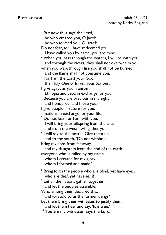<sup>1</sup> But now thus says the Lord, he who created you, O Jacob, he who formed you, O Israel: Do not fear, for I have redeemed you; I have called you by name, you are mine.  $2$  When you pass through the waters, I will be with you; and through the rivers, they shall not overwhelm you; when you walk through fire you shall not be burned, and the flame shall not consume you.  $^3$  For I am the Lord your God, the Holy One of Israel, your Saviour. I give Egypt as your ransom, Ethiopia and Seba in exchange for you. <sup>4</sup> Because you are precious in my sight, and honoured, and I love you, I give people in return for you, nations in exchange for your life.  $<sup>5</sup>$  Do not fear, for I am with you;</sup> I will bring your offspring from the east, and from the west I will gather you; <sup>6</sup> I will say to the north, 'Give them up', and to the south, 'Do not withhold; bring my sons from far away and my daughters from the end of the earth everyone who is called by my name, whom I created for my glory, whom I formed and made.' <sup>8</sup> Bring forth the people who are blind, yet have eyes, who are deaf, yet have ears! <sup>9</sup> Let all the nations gather together, and let the peoples assemble. Who among them declared this, and foretold to us the former things? Let them bring their witnesses to justify them. and let them hear and say, 'It is true.' <sup>10</sup> You are my witnesses, says the Lord,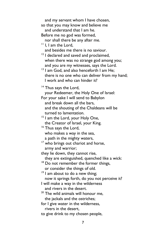and my servant whom I have chosen, so that you may know and believe me and understand that I am he. Before me no god was formed, nor shall there be any after me. <sup>11</sup> I. I am the Lord, and besides me there is no saviour. <sup>12</sup> I declared and saved and proclaimed, when there was no strange god among you; and you are my witnesses, says the Lord. <sup>13</sup> I am God, and also henceforth I am He; there is no one who can deliver from my hand; I work and who can hinder it?  $14$  Thus says the Lord, your Redeemer, the Holy One of Israel: For your sake I will send to Babylon and break down all the bars, and the shouting of the Chaldeans will be turned to lamentation. <sup>15</sup> I am the Lord, your Holy One, the Creator of Israel, your King. <sup>16</sup> Thus says the Lord, who makes a way in the sea, a path in the mighty waters, <sup>17</sup> who brings out chariot and horse, army and warrior; they lie down, they cannot rise, they are extinguished, quenched like a wick: <sup>18</sup> Do not remember the former things, or consider the things of old.  $19$  I am about to do a new thing; now it springs forth, do you not perceive it? I will make a way in the wilderness and rivers in the desert. <sup>20</sup> The wild animals will honour me, the jackals and the ostriches; for I give water in the wilderness, rivers in the desert, to give drink to my chosen people,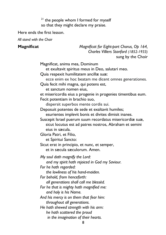$21$  the people whom I formed for myself so that they might declare my praise.

Here ends the first lesson.

*All stand with the Choir*

**Magnificat** *Magnificat for Eight-part Chorus, Op 164, Charles Villiers Stanford (1852-1933)* sung by the Choir

> Magnificat, anima mea, Dominum et exultavit spiritus meus in Deo, salutari meo. Quia respexit humilitatem ancillæ suæ: ecce enim ex hoc beatam me dicent omnes generationes. Quia fecit mihi magna, qui potens est, et sanctum nomen eius, et misericordia eius a progenie in progenies timentibus eum. Fecit potentiam in brachio suo, dispersit superbos mente cordis sui. Deposuit potentes de sede et exaltavit humiles; esurientes implevit bonis et divites dimisit inanes. Suscepit Israel puerum suum recordatus misericordiæ suæ, sicut locutus est ad patres nostros, Abraham et semini eius in sæcula. Gloria Patri, et Filio, et Spiritui Sancto: Sicut erat in principio, et nunc, et semper, et in sæcula sæculorum. Amen. *My soul doth magnify the Lord: and my spirit hath rejoiced in God my Saviour. For he hath regarded: the lowliness of his hand-maiden. For behold, from henceforth: all generations shall call me blessèd. For he that is mighty hath magnified me: and holy is his Name. And his mercy is on them that fear him: throughout all generations. He hath shewed strength with his arm: he hath scattered the proud in the imagination of their hearts.*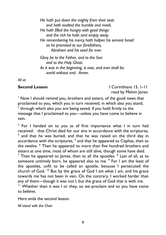*He hath put down the mighty from their seat: and hath exalted the humble and meek. He hath filled the hungry with good things: and the rich he hath sent empty away. He remembering his mercy hath holpen his servant Israel: as he promised to our forefathers, Abraham and his seed for ever. Glory be to the Father, and to the Son: and to the Holy Ghost.*

*As it was in the beginning, is now, and ever shall be: world without end. Amen.*

*All sit*

**Second Lesson I I** Corinthians 15. 1-11 read by Melvin Jones

<sup>1</sup> Now I should remind you, brothers and sisters, of the good news that proclaimed to you, which you in turn received, in which also you stand,  $^{\text{2}}$  through which also you are being saved, if you hold firmly to the message that I proclaimed to you—unless you have come to believe in vain.

<sup>3</sup> For I handed on to you as of first importance what I in turn had received: that Christ died for our sins in accordance with the scriptures, <sup>4</sup> and that he was buried, and that he was raised on the third day in accordance with the scriptures,  $^5$  and that he appeared to Cephas, then to the twelve. <sup>6</sup> Then he appeared to more than five hundred brothers and sisters at one time, most of whom are still alive, though some have died.

 $^7$  Then he appeared to James, then to all the apostles.  $^8$  Last of all, as to someone untimely born, he appeared also to me. <sup>9</sup> For I am the least of the apostles, unfit to be called an apostle, because I persecuted the church of God. <sup>10</sup> But by the grace of God I am what I am, and his grace towards me has not been in vain. On the contrary, I worked harder than any of them—though it was not I, but the grace of God that is with me.

<sup>11</sup> Whether then it was I or they, so we proclaim and so you have come to believe.

Here ends the second lesson.

*All stand with the Choir*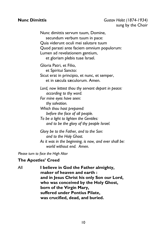### **Nunc Dimittis** *Gustav Holst (1874-1934)*  sung by the Choir

Nunc dimittis servum tuum, Domine, secundum verbum tuum in pace: Quia viderunt oculi mei salutare tuum Quod parasti ante faciem omnium populorum: Lumen ad revelationem gentium, et gloriam plebis tuae Israel.

Gloria Patri, et Filio, et Spiritui Sancto: Sicut erat in principio, et nunc, et semper, et in sæcula sæculorum. Amen.

*Lord, now lettest thou thy servant depart in peace: according to thy word.* 

*For mine eyes have seen: thy salvation.* 

*Which thou hast prepared: before the face of all people.* 

*To be a light to lighten the Gentiles: and to be the glory of thy people Israel.*

*Glory be to the Father, and to the Son: and to the Holy Ghost.*

*As it was in the beginning, is now, and ever shall be: world without end. Amen.*

*Please turn to face the High Altar*

### **The Apostles' Creed**

All **I believe in God the Father almighty, maker of heaven and earth : and in Jesus Christ his only Son our Lord, who was conceived by the Holy Ghost, born of the Virgin Mary, suffered under Pontius Pilate, was crucified, dead, and buried.**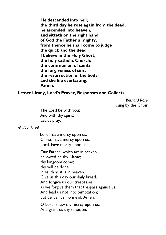**He descended into hell; the third day he rose again from the dead; he ascended into heaven, and sitteth on the right hand of God the Father almighty; from thence he shall come to judge the quick and the dead. I believe in the Holy Ghost; the holy catholic Church; the communion of saints; the forgiveness of sins; the resurrection of the body, and the life everlasting. Amen.** 

### **Lesser Litany, Lord's Prayer, Responses and Collects**

*Bernard Rose* sung by the Choir

The Lord be with you; And with thy spirit. Let us pray.

*All sit or kneel*

Lord, have mercy upon us. Christ, have mercy upon us. Lord, have mercy upon us.

Our Father, which art in heaven, hallowed be thy Name; thy kingdom come; thy will be done, in earth as it is in heaven. Give us this day our daily bread. And forgive us our trespasses, as we forgive them that trespass against us. And lead us not into temptation; but deliver us from evil. Amen.

O Lord, shew thy mercy upon us: And grant us thy salvation.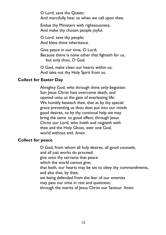O Lord, save the Queen; And mercifully hear us when we call upon thee.

Endue thy Ministers with righteousness; And make thy chosen people joyful.

O Lord, save thy people; And bless thine inheritance.

Give peace in our time, O Lord; Because there is none other that fighteth for us, but only thou, O God.

O God, make clean our hearts within us; And take not thy Holy Spirit from us.

# **Collect for Easter Day**

Almighty God, who through thine only-begotten Son Jesus Christ hast overcome death, and opened unto us the gate of everlasting life: We humbly beseech thee, that as by thy special grace preventing us thou dost put into our minds good desires, so by thy continual help we may bring the same to good effect; through Jesus Christ our Lord, who liveth and reigneth with thee and the Holy Ghost, ever one God, world without end. *Amen.*

### **Collect for peace**

O God, from whom all holy desires, all good counsels, and all just works do proceed; give unto thy servants that peace which the world cannot give; that both, our hearts may be set to obey thy commandments, and also that, by thee, we being defended from the fear of our enemies may pass our time in rest and quietness; through the merits of Jesus Christ our Saviour. *Amen.*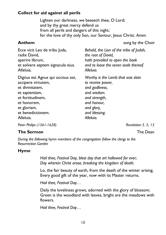# **Collect for aid against all perils**

Lighten our darkness, we beseech thee, O Lord; and by thy great mercy defend us from all perils and dangers of this night; for the love of thy only Son, our Saviour, Jesus Christ. *Amen.*

**Anthem** sung by the Choir

| Ecce vicit Leo de tribu Juda,<br>radix David,        | Behold, the Lion of the tribe of Judah,<br>the root of David,            |
|------------------------------------------------------|--------------------------------------------------------------------------|
| aperire librum,<br>et solvere septem signacula eius. | hath prevailed to open the book<br>and to loose the seven seals thereof. |
| Alleluia.                                            | Alleluia.                                                                |
| Dignus est Agnus qui occisus est,                    | Worthy is the Lamb that was slain                                        |
| accipere virtutem,                                   | to receive power,                                                        |
| et divinitatem,                                      | and godliness,                                                           |
| et sapientiam,                                       | and wisdom.                                                              |
| et fortitudinem,                                     | and strength,                                                            |
| et honorem,                                          | and honour,                                                              |
| et gloriam,                                          | and glory,                                                               |
| et benedictionem.                                    | and blessing.                                                            |
| Alleluia.                                            | Alleluia.                                                                |
|                                                      |                                                                          |

*Peter Philips (1561-1628) Revelation 5. 5, 13*

# **The Sermon The Dean**

*During the following hymn members of the congregation follow the clergy to the Resurrection Garden*

# **Hymn**

*Hail thee, Festival Day, blest day that art hallowed for ever; Day wherein Christ arose, breaking the kingdom of death.*

Lo, the fair beauty of earth, from the death of the winter arising, Every good gift of the year, now with its Master returns.

*Hail thee, Festival Day…*

Daily the loveliness grows, adorned with the glory of blossom; Green is the woodland with leaves, bright are the meadows with flowers.

*Hail thee, Festival Day…*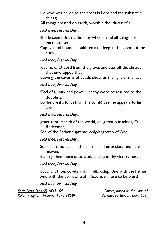He who was nailed to the cross is Lord and the ruler of all things;

All things created on earth, worship the Maker of all.

*Hail thee, Festival Day…*

Ill it beseemeth that thou, by whose hand all things are encompassed,

Captive and bound should remain, deep in the gloom of the rock.

*Hail thee, Festival Day…*

Rise now, O Lord from the grave, and cast off the shroud that enwrapped thee;

Leaving the caverns of death, show us the light of thy face.

*Hail thee, Festival Day…*

- God of all pity and power, let thy word be assured to the doubting;
- Lo, he breaks forth from the tomb! See, he appears to his own!

*Hail thee, Festival Day…*

Jesus, thou Health of the world, enlighten our minds, O Redeemer,

Son of the Father supreme, only-begotten of God.

*Hail thee, Festival Day…*

So, shalt thou bear in thine arms an immaculate people to heaven,

Bearing them pure unto God, pledge of thy victory here.

*Hail thee, Festival Day…*

Equal art thou, co-eternal, in fellowship One with the Father, And with the Spirit of truth, God evermore to be blest!

*Hail thee, Festival Day…*

*Salve Festa Dies (2) NEH 109 Editors, based on the Latin of Ralph Vaughan Williams (1872-1958) Venatius Fortunatus (530-609)*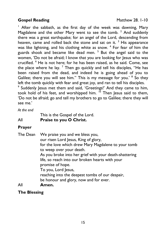# **Gospel Reading Matthew 28. 1-10**

 $1$  After the sabbath, as the first day of the week was dawning, Mary Magdalene and the other Mary went to see the tomb. <sup>2</sup> And suddenly there was a great earthquake; for an angel of the Lord, descending from heaven, came and rolled back the stone and sat on it.<sup>3</sup> His appearance was like lightning, and his clothing white as snow. <sup>4</sup> For fear of him the guards shook and became like dead men. <sup>5</sup> But the angel said to the women, 'Do not be afraid; I know that you are looking for Jesus who was crucified. <sup>6</sup> He is not here; for he has been raised, as he said. Come, see the place where he lay.  $<sup>7</sup>$  Then go quickly and tell his disciples, "He has</sup> been raised from the dead, and indeed he is going ahead of you to Galilee; there you will see him." This is my message for you.' <sup>8</sup> So they left the tomb quickly with fear and great joy, and ran to tell his disciples.

<sup>9</sup> Suddenly Jesus met them and said, 'Greetings!' And they came to him, took hold of his feet, and worshipped him.  $10$  Then Jesus said to them, 'Do not be afraid; go and tell my brothers to go to Galilee; there they will see me.'

*At the end*

This is the Gospel of the Lord.

## All **Praise to you O Christ.**

# **Prayer**

| The Dean        | We praise you and we bless you,                        |
|-----------------|--------------------------------------------------------|
|                 | our risen Lord Jesus, King of glory,                   |
|                 | for the love which drew Mary Magdalene to your tomb    |
|                 | to weep over your death.                               |
|                 | As you broke into her grief with your death-shattering |
|                 | life, so reach into our broken hearts with your        |
|                 | promise of hope.                                       |
|                 | To you, Lord Jesus,                                    |
|                 | reaching into the deepest tombs of our despair,        |
|                 | be honour and glory, now and for ever.                 |
| $\mathbf{A}$ II | $\mathbf{A}$ is a set                                  |

# All **Amen.**

# **The Blessing**